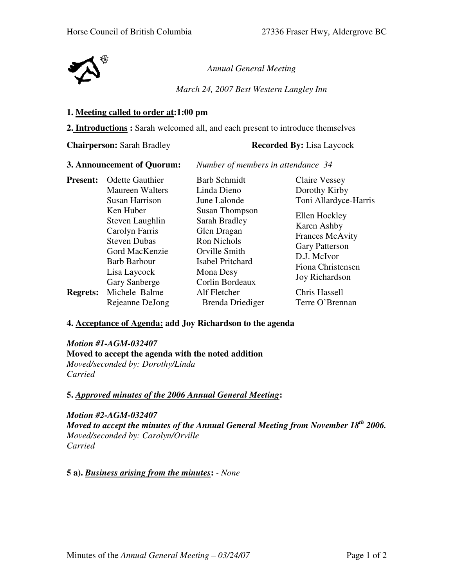

*Annual General Meeting*

*March 24, 2007 Best Western Langley Inn* 

#### **1. Meeting called to order at:1:00 pm**

**2. Introductions :** Sarah welcomed all, and each present to introduce themselves

**Chairperson:** Sarah Bradley **Recorded By:** Lisa Laycock

**3. Announcement of Quorum:** *Number of members in attendance 34* 

| <b>Present:</b> | <b>Odette Gauthier</b> | <b>Barb Schmidt</b>   | <b>Claire Vessey</b>                                   |
|-----------------|------------------------|-----------------------|--------------------------------------------------------|
|                 | Maureen Walters        | Linda Dieno           | Dorothy Kirby                                          |
|                 | <b>Susan Harrison</b>  | June Lalonde          | Toni Allardyce-Harris                                  |
|                 | Ken Huber              | <b>Susan Thompson</b> | Ellen Hockley<br>Karen Ashby<br><b>Frances McAvity</b> |
|                 | Steven Laughlin        | Sarah Bradley         |                                                        |
|                 | Carolyn Farris         | Glen Dragan           |                                                        |
|                 | <b>Steven Dubas</b>    | <b>Ron Nichols</b>    |                                                        |
|                 | Gord MacKenzie         | Orville Smith         | <b>Gary Patterson</b><br>D.J. McIvor                   |
|                 | <b>Barb Barbour</b>    | Isabel Pritchard      | Fiona Christensen<br><b>Joy Richardson</b>             |
|                 | Lisa Laycock           | Mona Desy             |                                                        |
|                 | Gary Sanberge          | Corlin Bordeaux       |                                                        |
| <b>Regrets:</b> | Michele Balme          | Alf Fletcher          | Chris Hassell                                          |
|                 | Rejeanne DeJong        | Brenda Driediger      | Terre O'Brennan                                        |

# **4. Acceptance of Agenda: add Joy Richardson to the agenda**

*Motion #1-AGM-032407*  **Moved to accept the agenda with the noted addition** *Moved/seconded by: Dorothy/Linda Carried* 

# **5.** *Approved minutes of the 2006 Annual General Meeting***:**

*Motion #2-AGM-032407 Moved to accept the minutes of the Annual General Meeting from November 18th 2006. Moved/seconded by: Carolyn/Orville Carried* 

**5 a).** *Business arising from the minutes***:** *- None*